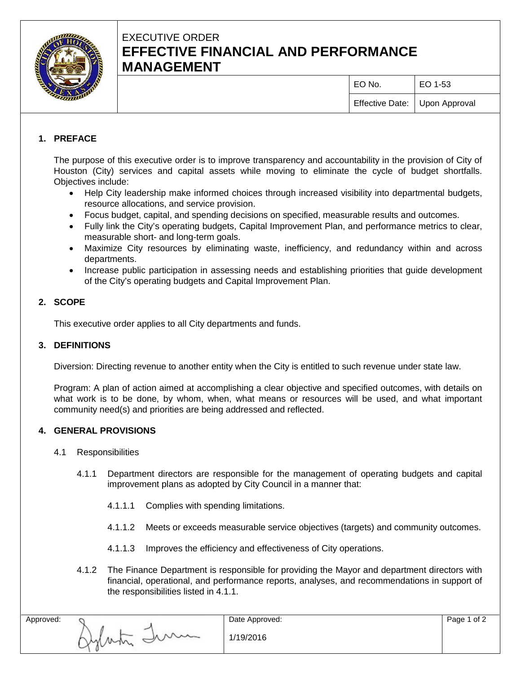

# EXECUTIVE ORDER **EFFECTIVE FINANCIAL AND PERFORMANCE MANAGEMENT**

| EO No.                        | EO 1-53 |
|-------------------------------|---------|
| Effective Date: Upon Approval |         |

# **1. PREFACE**

The purpose of this executive order is to improve transparency and accountability in the provision of City of Houston (City) services and capital assets while moving to eliminate the cycle of budget shortfalls. Objectives include:

- Help City leadership make informed choices through increased visibility into departmental budgets, resource allocations, and service provision.
- Focus budget, capital, and spending decisions on specified, measurable results and outcomes.
- Fully link the City's operating budgets, Capital Improvement Plan, and performance metrics to clear, measurable short- and long-term goals.
- Maximize City resources by eliminating waste, inefficiency, and redundancy within and across departments.
- Increase public participation in assessing needs and establishing priorities that guide development of the City's operating budgets and Capital Improvement Plan.

## **2. SCOPE**

This executive order applies to all City departments and funds.

#### **3. DEFINITIONS**

Diversion: Directing revenue to another entity when the City is entitled to such revenue under state law.

Program: A plan of action aimed at accomplishing a clear objective and specified outcomes, with details on what work is to be done, by whom, when, what means or resources will be used, and what important community need(s) and priorities are being addressed and reflected.

## **4. GENERAL PROVISIONS**

#### 4.1 Responsibilities

- 4.1.1 Department directors are responsible for the management of operating budgets and capital improvement plans as adopted by City Council in a manner that:
	- 4.1.1.1 Complies with spending limitations.
	- 4.1.1.2 Meets or exceeds measurable service objectives (targets) and community outcomes.
	- 4.1.1.3 Improves the efficiency and effectiveness of City operations.
- 4.1.2 The Finance Department is responsible for providing the Mayor and department directors with financial, operational, and performance reports, analyses, and recommendations in support of the responsibilities listed in 4.1.1.

| Approved: |                             | Date Approved: |
|-----------|-----------------------------|----------------|
|           | $\sim$<br>$\sim$<br>M<br>`` | 1/19/2016      |